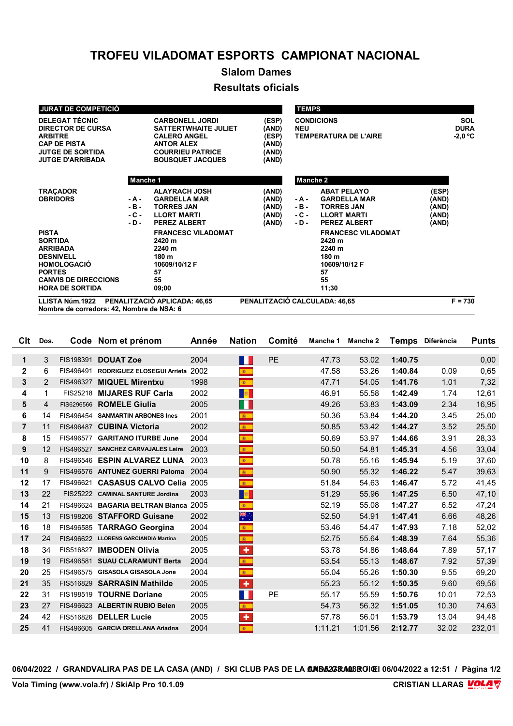## **TROFEU VILADOMAT ESPORTS CAMPIONAT NACIONAL**

## **Slalom Dames**

## **Resultats oficials**

| <b>JURAT DE COMPETICIÓ</b>                                                                                                                                            |                                     |                                                                                                                                                         |                                                    | <b>TEMPS</b>                                                    |                                                                                                             |                                           |
|-----------------------------------------------------------------------------------------------------------------------------------------------------------------------|-------------------------------------|---------------------------------------------------------------------------------------------------------------------------------------------------------|----------------------------------------------------|-----------------------------------------------------------------|-------------------------------------------------------------------------------------------------------------|-------------------------------------------|
| <b>DELEGAT TÈCNIC</b><br><b>DIRECTOR DE CURSA</b><br><b>ARBITRE</b><br><b>CAP DE PISTA</b><br><b>JUTGE DE SORTIDA</b><br><b>JUTGE D'ARRIBADA</b>                      |                                     | <b>CARBONELL JORDI</b><br><b>SATTERTWHAITE JULIET</b><br><b>CALERO ANGEL</b><br><b>ANTOR ALEX</b><br><b>COURRIEU PATRICE</b><br><b>BOUSQUET JACQUES</b> | (ESP)<br>(AND)<br>(ESP)<br>(AND)<br>(AND)<br>(AND) | <b>CONDICIONS</b><br><b>NEU</b><br><b>TEMPERATURA DE L'AIRE</b> | <b>SOL</b><br><b>DURA</b><br>-2,0 °C                                                                        |                                           |
|                                                                                                                                                                       | Manche 1                            |                                                                                                                                                         |                                                    | Manche 2                                                        |                                                                                                             |                                           |
| <b>TRACADOR</b><br><b>OBRIDORS</b>                                                                                                                                    | - A -<br>$-B -$<br>$-C -$<br>$-D -$ | <b>ALAYRACH JOSH</b><br><b>GARDELLA MAR</b><br><b>TORRES JAN</b><br><b>LLORT MARTI</b><br><b>PEREZ ALBERT</b>                                           | (AND)<br>(AND)<br>(AND)<br>(AND)<br>(AND)          | - A -<br>- B -<br>- C -<br>- D -                                | <b>ABAT PELAYO</b><br><b>GARDELLA MAR</b><br><b>TORRES JAN</b><br><b>LLORT MARTI</b><br><b>PEREZ ALBERT</b> | (ESP)<br>(AND)<br>(AND)<br>(AND)<br>(AND) |
| <b>PISTA</b><br><b>SORTIDA</b><br><b>ARRIBADA</b><br><b>DESNIVELL</b><br><b>HOMOLOGACIÓ</b><br><b>PORTES</b><br><b>CANVIS DE DIRECCIONS</b><br><b>HORA DE SORTIDA</b> |                                     | <b>FRANCESC VILADOMAT</b><br>2420 m<br>2240 m<br>180 m<br>10609/10/12 F<br>57<br>55<br>09:00                                                            |                                                    |                                                                 | <b>FRANCESC VILADOMAT</b><br>2420 m<br>2240 m<br>180 m<br>10609/10/12 F<br>57<br>55<br>11;30                |                                           |
| LLISTA Núm.1922                                                                                                                                                       |                                     | PENALITZACIÓ APLICADA: 46.65                                                                                                                            | PENALITZACIÓ CALCULADA: 46,65                      |                                                                 |                                                                                                             | $F = 730$                                 |

**Nombre de corredors: 42, Nombre de NSA: 6**

| Clt            | Dos. |           | Code Nom et prénom                    | Année | <b>Nation</b>                       | Comité | Manche 1 | Manche 2 |         | Temps Diferència | <b>Punts</b> |
|----------------|------|-----------|---------------------------------------|-------|-------------------------------------|--------|----------|----------|---------|------------------|--------------|
|                |      |           |                                       |       |                                     |        |          |          |         |                  |              |
| 1              | 3    | FIS198391 | <b>DOUAT Zoe</b>                      | 2004  | H                                   | PE     | 47.73    | 53.02    | 1:40.75 |                  | 0,00         |
| $\mathbf{2}$   | 6    | FIS496491 | <b>RODRIGUEZ ELOSEGUI Arrieta</b>     | 2002  | $\bullet$                           |        | 47.58    | 53.26    | 1:40.84 | 0.09             | 0,65         |
| 3              | 2    | FIS496327 | <b>MIQUEL Mirentxu</b>                | 1998  | $\mathcal{R}^{\pm}$                 |        | 47.71    | 54.05    | 1:41.76 | 1.01             | 7,32         |
| 4              | 1    |           | FIS25218 MIJARES RUF Carla            | 2002  | <mark>恋</mark> 。                    |        | 46.91    | 55.58    | 1:42.49 | 1.74             | 12,61        |
| 5              | 4    |           | FIS6296566 ROMELE Giulia              | 2005  | M.                                  |        | 49.26    | 53.83    | 1:43.09 | 2.34             | 16,95        |
| 6              | 14   | FIS496454 | <b>SANMARTIN ARBONES Ines</b>         | 2001  | $\bullet$                           |        | 50.36    | 53.84    | 1:44.20 | 3.45             | 25,00        |
| $\overline{7}$ | 11   |           | FIS496487 CUBINA Victoria             | 2002  | $\bullet$                           |        | 50.85    | 53.42    | 1:44.27 | 3.52             | 25,50        |
| 8              | 15   | FIS496577 | <b>GARITANO ITURBE June</b>           | 2004  | $\bullet$                           |        | 50.69    | 53.97    | 1:44.66 | 3.91             | 28,33        |
| 9              | 12   |           | FIS496527 SANCHEZ CARVAJALES Leire    | 2003  | $\bullet$                           |        | 50.50    | 54.81    | 1:45.31 | 4.56             | 33,04        |
| 10             | 8    |           | FIS496546 ESPIN ALVAREZ LUNA          | 2003  | $\mathbf{R}$ .                      |        | 50.78    | 55.16    | 1:45.94 | 5.19             | 37,60        |
| 11             | 9    |           | FIS496576 ANTUNEZ GUERRI Paloma       | 2004  | $\mathcal{R}^{\pm}$                 |        | 50.90    | 55.32    | 1:46.22 | 5.47             | 39,63        |
| 12             | 17   | FIS496621 | <b>CASASUS CALVO Celia 2005</b>       |       | $\mathbf{R}^{\pm}$                  |        | 51.84    | 54.63    | 1:46.47 | 5.72             | 41,45        |
| 13             | 22   |           | FIS25222 CAMINAL SANTURE Jordina      | 2003  | $\mathcal{B}^{\pm}$                 |        | 51.29    | 55.96    | 1:47.25 | 6.50             | 47,10        |
| 14             | 21   |           | FIS496624 BAGARIA BELTRAN Blanca 2005 |       | $\mathbf{g}_{\mathrm{max}}$         |        | 52.19    | 55.08    | 1:47.27 | 6.52             | 47,24        |
| 15             | 13   |           | FIS198206 STAFFORD Guisane            | 2002  | $\frac{1}{2}$                       |        | 52.50    | 54.91    | 1:47.41 | 6.66             | 48,26        |
| 16             | 18   |           | FIS496585 TARRAGO Georgina            | 2004  | $\mathbf{g}_{\mathrm{in}}$          |        | 53.46    | 54.47    | 1:47.93 | 7.18             | 52,02        |
| 17             | 24   |           | FIS496622 LLORENS GARCIANDIA Martina  | 2005  | $\mathcal{R}^{\text{max}}$          |        | 52.75    | 55.64    | 1:48.39 | 7.64             | 55,36        |
| 18             | 34   | FIS516827 | <b>IMBODEN Olivia</b>                 | 2005  | ÷                                   |        | 53.78    | 54.86    | 1:48.64 | 7.89             | 57,17        |
| 19             | 19   |           | FIS496581 SUAU CLARAMUNT Berta        | 2004  | $\mathcal{R}^+$                     |        | 53.54    | 55.13    | 1:48.67 | 7.92             | 57,39        |
| 20             | 25   |           | FIS496575 GISASOLA GISASOLA Jone      | 2004  | $\frac{1}{\left \mathbf{R}\right }$ |        | 55.04    | 55.26    | 1:50.30 | 9.55             | 69,20        |
| 21             | 35   | FIS516829 | <b>SARRASIN Mathilde</b>              | 2005  | ÷                                   |        | 55.23    | 55.12    | 1:50.35 | 9.60             | 69,56        |
| 22             | 31   |           | FIS198519 TOURNE Doriane              | 2005  | H.                                  | PE     | 55.17    | 55.59    | 1:50.76 | 10.01            | 72,53        |
| 23             | 27   |           | FIS496623 ALBERTIN RUBIO Belen        | 2005  | $\mathcal{R}^{\text{max}}$          |        | 54.73    | 56.32    | 1:51.05 | 10.30            | 74,63        |
| 24             | 42   | FIS516826 | <b>DELLER Lucie</b>                   | 2005  | ÷                                   |        | 57.78    | 56.01    | 1:53.79 | 13.04            | 94,48        |
| 25             | 41   |           | FIS496605 GARCIA ORELLANA Ariadna     | 2004  | $\mathcal{R}^{\pm}$                 |        | 1:11.21  | 1:01.56  | 2:12.77 | 32.02            | 232,01       |

06/04/2022 / GRANDVALIRA PAS DE LA CASA (AND) / SKI CLUB PAS DE LA **GRISAZ3RAOBROIGI** 06/04/2022 a 12:51 / Pàgina 1/2